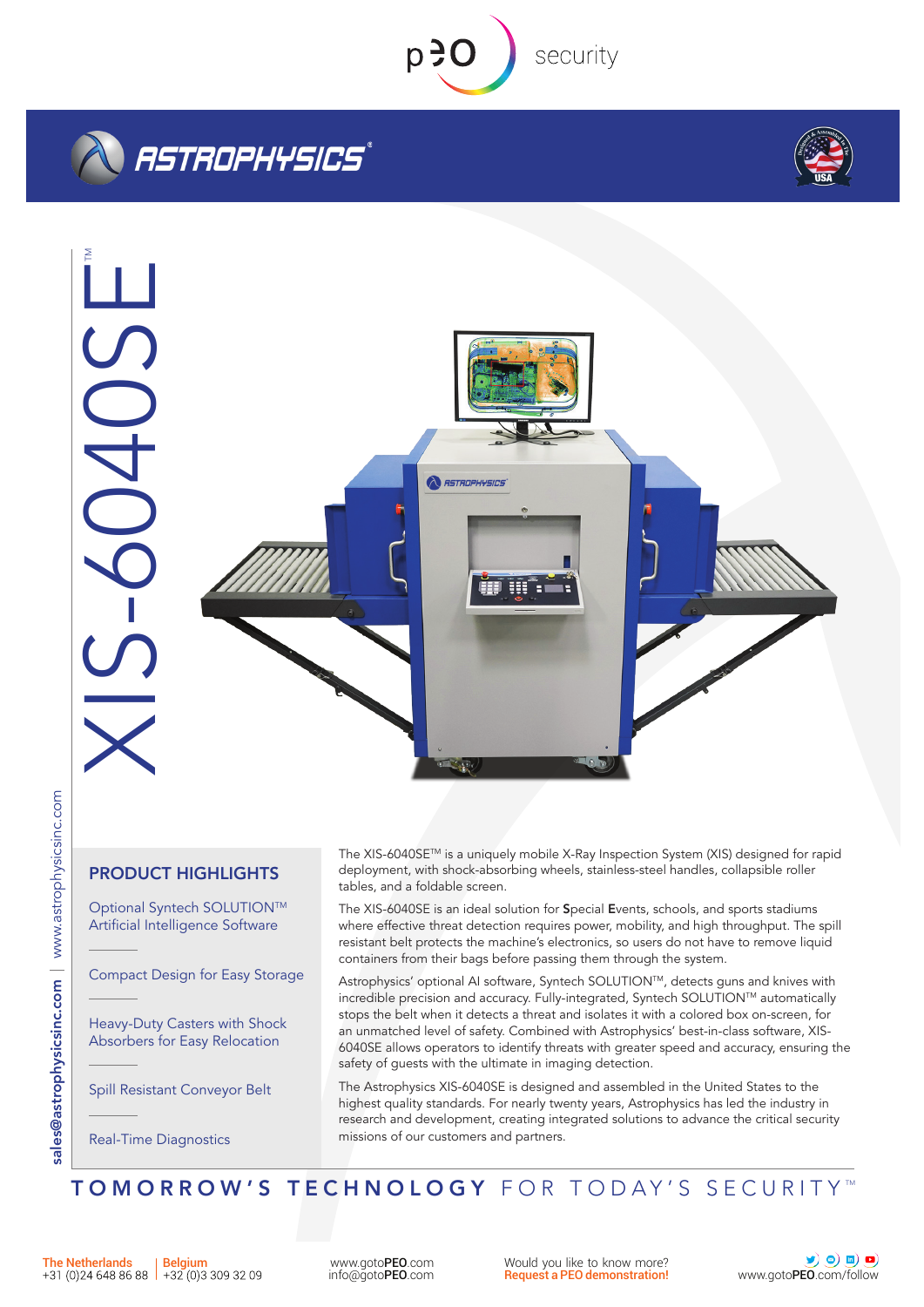

security

# *ASTROPHYSICS*®





# PRODUCT HIGHLIGHTS

Optional Syntech SOLUTION™ Artificial Intelligence Software

Compact Design for Easy Storage

Heavy-Duty Casters with Shock Absorbers for Easy Relocation

Spill Resistant Conveyor Belt

Real-Time Diagnostics

The XIS-6040SETM is a uniquely mobile X-Ray Inspection System (XIS) designed for rapid deployment, with shock-absorbing wheels, stainless-steel handles, collapsible roller tables, and a foldable screen.

The XIS-6040SE is an ideal solution for Special Events, schools, and sports stadiums where effective threat detection requires power, mobility, and high throughput. The spill resistant belt protects the machine's electronics, so users do not have to remove liquid containers from their bags before passing them through the system.

Astrophysics' optional AI software, Syntech SOLUTION™, detects guns and knives with incredible precision and accuracy. Fully-integrated, Syntech SOLUTIONTM automatically stops the belt when it detects a threat and isolates it with a colored box on-screen, for an unmatched level of safety. Combined with Astrophysics' best-in-class software, XIS-6040SE allows operators to identify threats with greater speed and accuracy, ensuring the safety of guests with the ultimate in imaging detection.

The Astrophysics XIS-6040SE is designed and assembled in the United States to the highest quality standards. For nearly twenty years, Astrophysics has led the industry in research and development, creating integrated solutions to advance the critical security missions of our customers and partners.

WWW.gotoPEO.com Mould you like to know more?<br> [info@goto](mailto:info%40gotopeo.com?subject=Additional%20information%20regarding%20your%20product)PEO.com **info@gotoPEO.com Request a PEO demonstration!** [www.goto](www.gotopeo.com)PEO[.com/follow](https://www.gotopeo.com/follow)